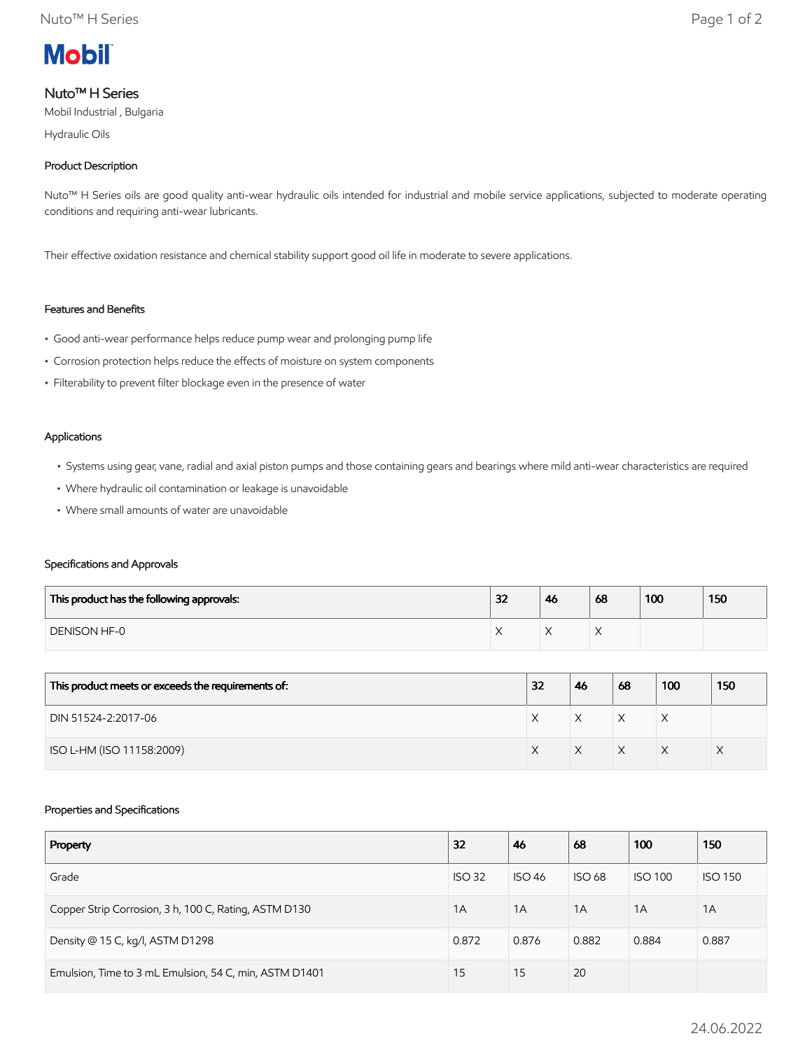

# Nuto™ H Series

Mobil Industrial , Bulgaria

Hydraulic Oils

# Product Description

Nuto<sup>™</sup> H Series oils are good quality anti-wear hydraulic oils intended for industrial and mobile service applications, subjected to moderate operating conditions and requiring anti-wear lubricants.

Their effective oxidation resistance and chemical stability support good oil life in moderate to severe applications.

# Features and Benefits

- Good anti-wear performance helps reduce pump wear and prolonging pump life
- Corrosion protection helps reduce the effects of moisture on system components
- Filterability to prevent filter blockage even in the presence of water

#### Applications

- Systems using gear, vane, radial and axial piston pumps and those containing gears and bearings where mild anti-wear characteristics are required
- Where hydraulic oil contamination or leakage is unavoidable
- Where small amounts of water are unavoidable

### Specifications and Approvals

| This product has the following approvals: | 32 | 46 | 68 | 100 | 150 |
|-------------------------------------------|----|----|----|-----|-----|
| <b>DENISON HF-0</b>                       |    |    |    |     |     |

| This product meets or exceeds the requirements of: | 32 | 46 | 68 | 100 | 150 |
|----------------------------------------------------|----|----|----|-----|-----|
| DIN 51524-2:2017-06                                |    | X  | X  | ⋏   |     |
| ISO L-HM (ISO 11158:2009)                          |    |    | X  |     |     |

### Properties and Specifications

| Property                                               | 32            | 46            | 68            | 100            | 150            |
|--------------------------------------------------------|---------------|---------------|---------------|----------------|----------------|
| Grade                                                  | <b>ISO 32</b> | <b>ISO 46</b> | <b>ISO 68</b> | <b>ISO 100</b> | <b>ISO 150</b> |
| Copper Strip Corrosion, 3 h, 100 C, Rating, ASTM D130  | 1A            | 1A            | 1A            | 1A             | 1A             |
| Density @ 15 C, kg/l, ASTM D1298                       | 0.872         | 0.876         | 0.882         | 0.884          | 0.887          |
| Emulsion, Time to 3 mL Emulsion, 54 C, min, ASTM D1401 | 15            | 15            | 20            |                |                |